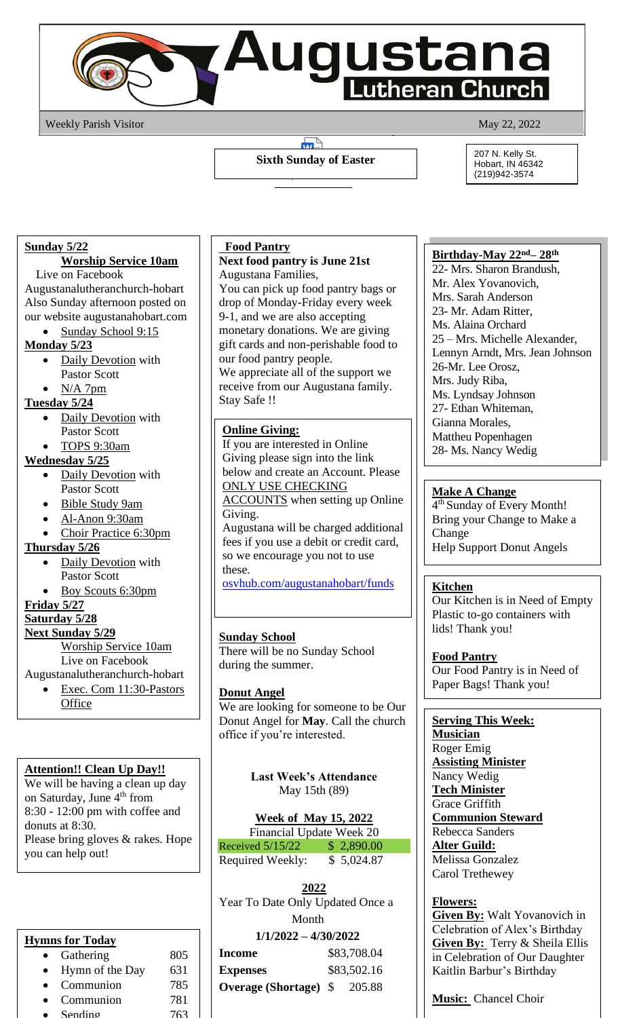

Weekly Parish Visitor May 22, 2022

### $\blacksquare$ **Sixth Sunday of Easter** \_\_, \_\_\_\_ \_\_\_\_\_\_

#### 207 N. Kelly St. Hobart, IN 46342 (219)942-3574

### **Sunday 5/22**

# **Worship Service 10am**

Live on Facebook Augustanalutheranchurch-hobart Also Sunday afternoon posted on our website augustanahobart.com

• Sunday School 9:15

# **Monday 5/23**

- Daily Devotion with Pastor Scott
- $N/A$  7pm

### **Tuesday 5/24**

- Daily Devotion with Pastor Scott
- TOPS 9:30am

# **Wednesday 5/25**

- Daily Devotion with Pastor Scott
- Bible Study 9am
- Al-Anon 9:30am
- Choir Practice 6:30pm

## **Thursday 5/26**

- Daily Devotion with Pastor Scott
- Boy Scouts 6:30pm

## **Friday 5/27**

## **Saturday 5/28**

#### **Next Sunday 5/29**

Worship Service 10am Live on Facebook

- Augustanalutheranchurch-hobart
	- Exec. Com 11:30-Pastors **Office**

# **Attention!! Clean Up Day!!**

We will be having a clean up day on Saturday, June  $4<sup>th</sup>$  from 8:30 - 12:00 pm with coffee and donuts at 8:30. Please bring gloves & rakes. Hope you can help out!

# **Hymns for Today**

Gathering 805 • Hymn of the Day 631 • Communion 785 • Communion 781 • Sending  $763$ 

#### **Food Pantry**

#### **Next food pantry is June 21st** Augustana Families,

You can pick up food pantry bags or drop of Monday-Friday every week 9-1, and we are also accepting monetary donations. We are giving gift cards and non-perishable food to our food pantry people. We appreciate all of the support we receive from our Augustana family. Stay Safe !!

# **Online Giving:**

If you are interested in Online Giving please sign into the link below and create an Account. Please ONLY USE CHECKING **ACCOUNTS** when setting up Online Giving. Augustana will be charged additional fees if you use a debit or credit card, so we encourage you not to use these. [osvhub.com/augustanahobart/funds](http://osvhub.com/augustanahobart/funds)

## **Sunday School**

There will be no Sunday School during the summer.

## **Donut Angel**

We are looking for someone to be Our Donut Angel for **May**. Call the church office if you're interested.

> **Last Week's Attendance** May 15th (89)

## **Week of May 15, 2022**

Financial Update Week 20 Received 5/15/22 \$ 2,890.00 Required Weekly: \$ 5,024.87

**2022** Year To Date Only Updated Once a Month

# **1/1/2022 – 4/30/2022**

| Income                       | \$83,708.04 |
|------------------------------|-------------|
| <b>Expenses</b>              | \$83,502.16 |
| <b>Overage (Shortage)</b> \$ | 205.88      |

## **Birthday-May 22nd– 28 th**

22- Mrs. Sharon Brandush, Mr. Alex Yovanovich, Mrs. Sarah Anderson 23- Mr. Adam Ritter, Ms. Alaina Orchard 25 – Mrs. Michelle Alexander, Lennyn Arndt, Mrs. Jean Johnson 26-Mr. Lee Orosz, Mrs. Judy Riba, Ms. Lyndsay Johnson 27- Ethan Whiteman, Gianna Morales, Mattheu Popenhagen 28- Ms. Nancy Wedig

# **Make A Change**

4 th Sunday of Every Month! Bring your Change to Make a Change Help Support Donut Angels

# **Kitchen**

Our Kitchen is in Need of Empty Plastic to-go containers with lids! Thank you!

**Food Pantry**

Our Food Pantry is in Need of Paper Bags! Thank you!

# **Serving This Week:**

**Musician** Roger Emig **Assisting Minister** Nancy Wedig **Tech Minister** Grace Griffith **Communion Steward** Rebecca Sanders **Alter Guild:** Melissa Gonzalez Carol Trethewey

## **Flowers:**

**Given By:** Walt Yovanovich in Celebration of Alex's Birthday **Given By:** Terry & Sheila Ellis in Celebration of Our Daughter Kaitlin Barbur's Birthday

**Music:** Chancel Choir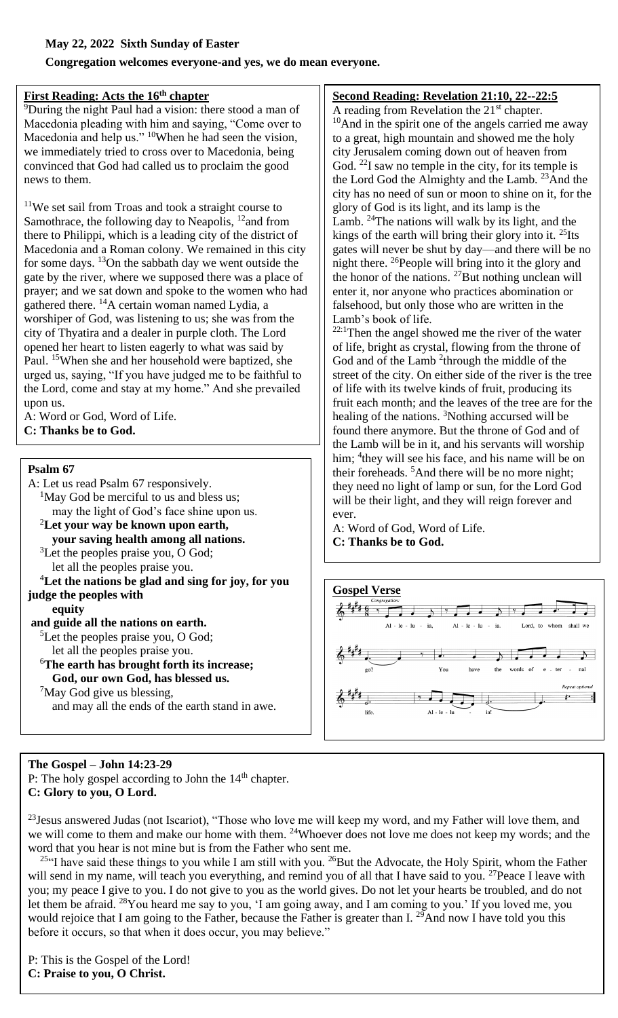#### **May 22, 2022 Sixth Sunday of Easter**

**Congregation welcomes everyone-and yes, we do mean everyone.**

#### **First Reading: Acts the 16th chapter**

<sup>9</sup>During the night Paul had a vision: there stood a man of Macedonia pleading with him and saying, "Come over to Macedonia and help us." <sup>10</sup>When he had seen the vision, we immediately tried to cross over to Macedonia, being convinced that God had called us to proclaim the good news to them.

 $11$ We set sail from Troas and took a straight course to Samothrace, the following day to Neapolis,  $12$  and from there to Philippi, which is a leading city of the district of Macedonia and a Roman colony. We remained in this city for some days.  $\frac{13}{2}$ On the sabbath day we went outside the gate by the river, where we supposed there was a place of prayer; and we sat down and spoke to the women who had gathered there.  $^{14}$ A certain woman named Lydia, a worshiper of God, was listening to us; she was from the city of Thyatira and a dealer in purple cloth. The Lord opened her heart to listen eagerly to what was said by Paul. <sup>15</sup>When she and her household were baptized, she urged us, saying, "If you have judged me to be faithful to the Lord, come and stay at my home." And she prevailed upon us.

A: Word or God, Word of Life. **C: Thanks be to God.**

#### **Psalm 67**

A: Let us read Psalm 67 responsively.  ${}^{1}$ May God be merciful to us and bless us; may the light of God's face shine upon us. <sup>2</sup>**Let your way be known upon earth, your saving health among all nations.** <sup>3</sup>Let the peoples praise you, O God; let all the peoples praise you. <sup>4</sup>**Let the nations be glad and sing for joy, for you judge the peoples with equity and guide all the nations on earth.** <sup>5</sup>Let the peoples praise you, O God; let all the peoples praise you. <sup>6</sup>**The earth has brought forth its increase;**

**God, our own God, has blessed us.**

 $\mathrm{7M}$ ay God give us blessing,

and may all the ends of the earth stand in awe.

# **Second Reading: Revelation 21:10, 22--22:5**

A reading from Revelation the  $21<sup>st</sup>$  chapter.  $10$ And in the spirit one of the angels carried me away to a great, high mountain and showed me the holy city Jerusalem coming down out of heaven from God.  $^{22}$ I saw no temple in the city, for its temple is the Lord God the Almighty and the Lamb. <sup>23</sup>And the city has no need of sun or moon to shine on it, for the glory of God is its light, and its lamp is the Lamb.  $24$ The nations will walk by its light, and the kings of the earth will bring their glory into it. <sup>25</sup>Its gates will never be shut by day—and there will be no night there. <sup>26</sup>People will bring into it the glory and the honor of the nations. <sup>27</sup>But nothing unclean will enter it, nor anyone who practices abomination or falsehood, but only those who are written in the Lamb's book of life.

 $22:1$ Then the angel showed me the river of the water of life, bright as crystal, flowing from the throne of God and of the Lamb <sup>2</sup>through the middle of the street of the city. On either side of the river is the tree of life with its twelve kinds of fruit, producing its fruit each month; and the leaves of the tree are for the healing of the nations. <sup>3</sup>Nothing accursed will be found there anymore. But the throne of God and of the Lamb will be in it, and his servants will worship him; <sup>4</sup> they will see his face, and his name will be on their foreheads. <sup>5</sup>And there will be no more night; they need no light of lamp or sun, for the Lord God will be their light, and they will reign forever and ever.

A: Word of God, Word of Life. **C: Thanks be to God.**



#### **The Gospel – John 14:23-29** P: The holy gospel according to John the  $14<sup>th</sup>$  chapter. **C: Glory to you, O Lord.**

<sup>23</sup> Jesus answered Judas (not Iscariot), "Those who love me will keep my word, and my Father will love them, and we will come to them and make our home with them. <sup>24</sup>Whoever does not love me does not keep my words; and the word that you hear is not mine but is from the Father who sent me.

<sup>25"</sup>I have said these things to you while I am still with you. <sup>26</sup>But the Advocate, the Holy Spirit, whom the Father will send in my name, will teach you everything, and remind you of all that I have said to you. <sup>27</sup>Peace I leave with you; my peace I give to you. I do not give to you as the world gives. Do not let your hearts be troubled, and do not let them be afraid. <sup>28</sup>You heard me say to you, 'I am going away, and I am coming to you.' If you loved me, you would rejoice that I am going to the Father, because the Father is greater than I. <sup>29</sup>And now I have told you this before it occurs, so that when it does occur, you may believe."

P: This is the Gospel of the Lord! **C: Praise to you, O Christ.**